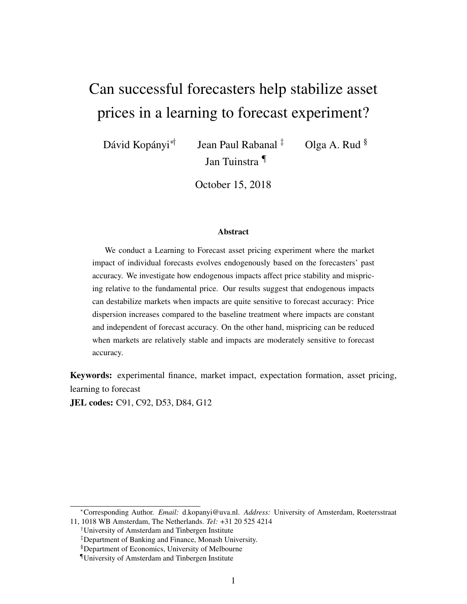# Can successful forecasters help stabilize asset prices in a learning to forecast experiment?

Dávid Kopányi<sup>∗†</sup> Jean Paul Rabanal <sup>‡</sup> Olga A. Rud § Jan Tuinstra ¶

October 15, 2018

#### Abstract

We conduct a Learning to Forecast asset pricing experiment where the market impact of individual forecasts evolves endogenously based on the forecasters' past accuracy. We investigate how endogenous impacts affect price stability and mispricing relative to the fundamental price. Our results suggest that endogenous impacts can destabilize markets when impacts are quite sensitive to forecast accuracy: Price dispersion increases compared to the baseline treatment where impacts are constant and independent of forecast accuracy. On the other hand, mispricing can be reduced when markets are relatively stable and impacts are moderately sensitive to forecast accuracy.

Keywords: experimental finance, market impact, expectation formation, asset pricing, learning to forecast

JEL codes: C91, C92, D53, D84, G12

<sup>∗</sup>Corresponding Author. *Email:* d.kopanyi@uva.nl. *Address:* University of Amsterdam, Roetersstraat 11, 1018 WB Amsterdam, The Netherlands. *Tel:* +31 20 525 4214

<sup>†</sup>University of Amsterdam and Tinbergen Institute

<sup>‡</sup>Department of Banking and Finance, Monash University.

<sup>§</sup>Department of Economics, University of Melbourne

<sup>¶</sup>University of Amsterdam and Tinbergen Institute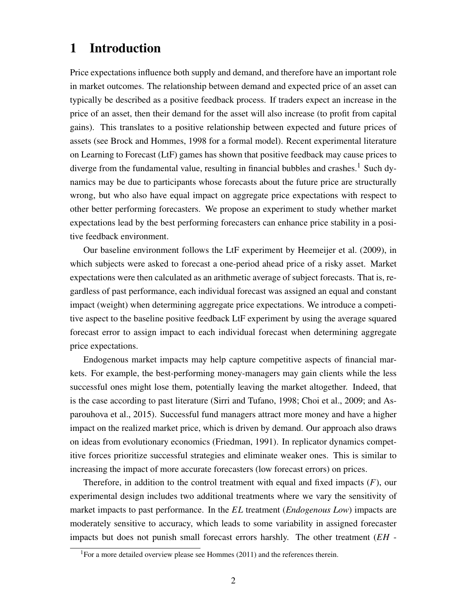# 1 Introduction

Price expectations influence both supply and demand, and therefore have an important role in market outcomes. The relationship between demand and expected price of an asset can typically be described as a positive feedback process. If traders expect an increase in the price of an asset, then their demand for the asset will also increase (to profit from capital gains). This translates to a positive relationship between expected and future prices of assets (see Brock and Hommes, 1998 for a formal model). Recent experimental literature on Learning to Forecast (LtF) games has shown that positive feedback may cause prices to diverge from the fundamental value, resulting in financial bubbles and crashes.<sup>1</sup> Such dynamics may be due to participants whose forecasts about the future price are structurally wrong, but who also have equal impact on aggregate price expectations with respect to other better performing forecasters. We propose an experiment to study whether market expectations lead by the best performing forecasters can enhance price stability in a positive feedback environment.

Our baseline environment follows the LtF experiment by Heemeijer et al. (2009), in which subjects were asked to forecast a one-period ahead price of a risky asset. Market expectations were then calculated as an arithmetic average of subject forecasts. That is, regardless of past performance, each individual forecast was assigned an equal and constant impact (weight) when determining aggregate price expectations. We introduce a competitive aspect to the baseline positive feedback LtF experiment by using the average squared forecast error to assign impact to each individual forecast when determining aggregate price expectations.

Endogenous market impacts may help capture competitive aspects of financial markets. For example, the best-performing money-managers may gain clients while the less successful ones might lose them, potentially leaving the market altogether. Indeed, that is the case according to past literature (Sirri and Tufano, 1998; Choi et al., 2009; and Asparouhova et al., 2015). Successful fund managers attract more money and have a higher impact on the realized market price, which is driven by demand. Our approach also draws on ideas from evolutionary economics (Friedman, 1991). In replicator dynamics competitive forces prioritize successful strategies and eliminate weaker ones. This is similar to increasing the impact of more accurate forecasters (low forecast errors) on prices.

Therefore, in addition to the control treatment with equal and fixed impacts (*F*), our experimental design includes two additional treatments where we vary the sensitivity of market impacts to past performance. In the *EL* treatment (*Endogenous Low*) impacts are moderately sensitive to accuracy, which leads to some variability in assigned forecaster impacts but does not punish small forecast errors harshly. The other treatment (*EH* -

<sup>&</sup>lt;sup>1</sup>For a more detailed overview please see Hommes (2011) and the references therein.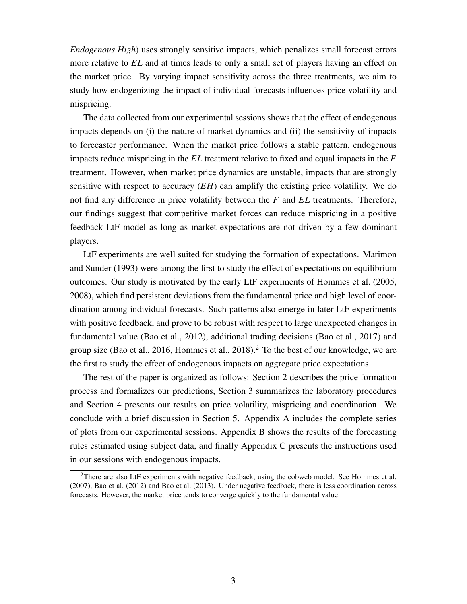*Endogenous High*) uses strongly sensitive impacts, which penalizes small forecast errors more relative to *EL* and at times leads to only a small set of players having an effect on the market price. By varying impact sensitivity across the three treatments, we aim to study how endogenizing the impact of individual forecasts influences price volatility and mispricing.

The data collected from our experimental sessions shows that the effect of endogenous impacts depends on (i) the nature of market dynamics and (ii) the sensitivity of impacts to forecaster performance. When the market price follows a stable pattern, endogenous impacts reduce mispricing in the *EL* treatment relative to fixed and equal impacts in the *F* treatment. However, when market price dynamics are unstable, impacts that are strongly sensitive with respect to accuracy (*EH*) can amplify the existing price volatility. We do not find any difference in price volatility between the *F* and *EL* treatments. Therefore, our findings suggest that competitive market forces can reduce mispricing in a positive feedback LtF model as long as market expectations are not driven by a few dominant players.

LtF experiments are well suited for studying the formation of expectations. Marimon and Sunder (1993) were among the first to study the effect of expectations on equilibrium outcomes. Our study is motivated by the early LtF experiments of Hommes et al. (2005, 2008), which find persistent deviations from the fundamental price and high level of coordination among individual forecasts. Such patterns also emerge in later LtF experiments with positive feedback, and prove to be robust with respect to large unexpected changes in fundamental value (Bao et al., 2012), additional trading decisions (Bao et al., 2017) and group size (Bao et al., 2016, Hommes et al., 2018).<sup>2</sup> To the best of our knowledge, we are the first to study the effect of endogenous impacts on aggregate price expectations.

The rest of the paper is organized as follows: Section 2 describes the price formation process and formalizes our predictions, Section 3 summarizes the laboratory procedures and Section 4 presents our results on price volatility, mispricing and coordination. We conclude with a brief discussion in Section 5. Appendix A includes the complete series of plots from our experimental sessions. Appendix B shows the results of the forecasting rules estimated using subject data, and finally Appendix C presents the instructions used in our sessions with endogenous impacts.

<sup>&</sup>lt;sup>2</sup>There are also LtF experiments with negative feedback, using the cobweb model. See Hommes et al. (2007), Bao et al. (2012) and Bao et al. (2013). Under negative feedback, there is less coordination across forecasts. However, the market price tends to converge quickly to the fundamental value.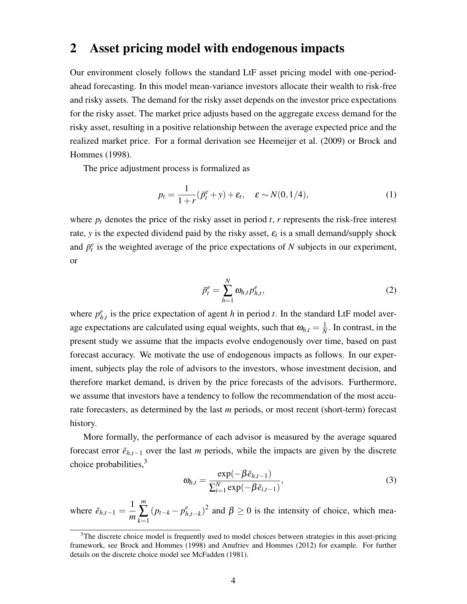### 2 Asset pricing model with endogenous impacts

Our environment closely follows the standard LtF asset pricing model with one-periodahead forecasting. In this model mean-variance investors allocate their wealth to risk-free and risky assets. The demand for the risky asset depends on the investor price expectations for the risky asset. The market price adjusts based on the aggregate excess demand for the risky asset, resulting in a positive relationship between the average expected price and the realized market price. For a formal derivation see Heemeijer et al. (2009) or Brock and Hommes (1998).

The price adjustment process is formalized as

$$
p_t = \frac{1}{1+r}(\bar{p}_t^e + y) + \varepsilon_t, \quad \varepsilon \sim N(0, 1/4), \tag{1}
$$

where  $p_t$  denotes the price of the risky asset in period  $t$ ,  $r$  represents the risk-free interest rate, *y* is the expected dividend paid by the risky asset,  $\varepsilon$ <sub>*t*</sub> is a small demand/supply shock and  $\bar{p}_t^e$  is the weighted average of the price expectations of *N* subjects in our experiment, or

$$
\bar{p}_t^e = \sum_{h=1}^N \omega_{h,t} p_{h,t}^e,\tag{2}
$$

where  $p_h^e$  $_{h,t}^e$  is the price expectation of agent *h* in period *t*. In the standard LtF model average expectations are calculated using equal weights, such that  $\omega_{h,t} = \frac{1}{N}$  $\frac{1}{N}$ . In contrast, in the present study we assume that the impacts evolve endogenously over time, based on past forecast accuracy. We motivate the use of endogenous impacts as follows. In our experiment, subjects play the role of advisors to the investors, whose investment decision, and therefore market demand, is driven by the price forecasts of the advisors. Furthermore, we assume that investors have a tendency to follow the recommendation of the most accurate forecasters, as determined by the last *m* periods, or most recent (short-term) forecast history.

More formally, the performance of each advisor is measured by the average squared forecast error  $\bar{e}_{h,t-1}$  over the last *m* periods, while the impacts are given by the discrete choice probabilities,  $3<sup>3</sup>$ 

$$
\omega_{h,t} = \frac{\exp(-\beta \bar{e}_{h,t-1})}{\sum_{i=1}^{N} \exp(-\beta \bar{e}_{i,t-1})},\tag{3}
$$

where  $\bar{e}_{h,t-1} = \frac{1}{m}$ *m m* ∑ *k*=1  $(p_{t-k} - p_h^e)$  $\binom{e}{h,t-k}$ <sup>2</sup> and  $\beta \ge 0$  is the intensity of choice, which mea-

 $3$ The discrete choice model is frequently used to model choices between strategies in this asset-pricing framework, see Brock and Hommes (1998) and Anufriev and Hommes (2012) for example. For further details on the discrete choice model see McFadden (1981).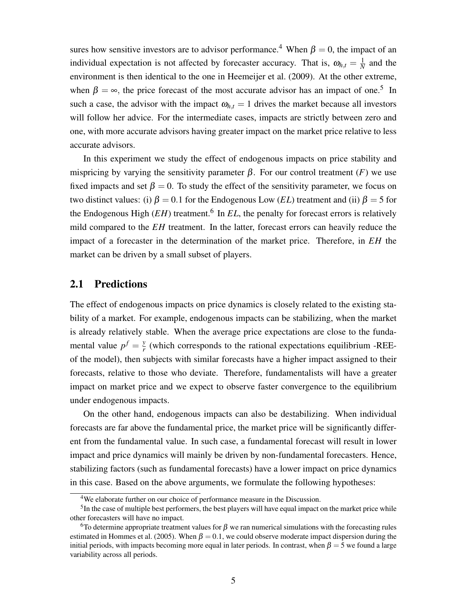sures how sensitive investors are to advisor performance.<sup>4</sup> When  $\beta = 0$ , the impact of an individual expectation is not affected by forecaster accuracy. That is,  $\omega_{h,t} = \frac{1}{N}$  $\frac{1}{N}$  and the environment is then identical to the one in Heemeijer et al. (2009). At the other extreme, when  $\beta = \infty$ , the price forecast of the most accurate advisor has an impact of one.<sup>5</sup> In such a case, the advisor with the impact  $\omega_{h,t} = 1$  drives the market because all investors will follow her advice. For the intermediate cases, impacts are strictly between zero and one, with more accurate advisors having greater impact on the market price relative to less accurate advisors.

In this experiment we study the effect of endogenous impacts on price stability and mispricing by varying the sensitivity parameter  $\beta$ . For our control treatment  $(F)$  we use fixed impacts and set  $\beta = 0$ . To study the effect of the sensitivity parameter, we focus on two distinct values: (i)  $\beta = 0.1$  for the Endogenous Low (*EL*) treatment and (ii)  $\beta = 5$  for the Endogenous High (*EH*) treatment.<sup>6</sup> In *EL*, the penalty for forecast errors is relatively mild compared to the *EH* treatment. In the latter, forecast errors can heavily reduce the impact of a forecaster in the determination of the market price. Therefore, in *EH* the market can be driven by a small subset of players.

### 2.1 Predictions

The effect of endogenous impacts on price dynamics is closely related to the existing stability of a market. For example, endogenous impacts can be stabilizing, when the market is already relatively stable. When the average price expectations are close to the fundamental value  $p^f = \frac{y}{r}$  $\frac{y}{r}$  (which corresponds to the rational expectations equilibrium -REEof the model), then subjects with similar forecasts have a higher impact assigned to their forecasts, relative to those who deviate. Therefore, fundamentalists will have a greater impact on market price and we expect to observe faster convergence to the equilibrium under endogenous impacts.

On the other hand, endogenous impacts can also be destabilizing. When individual forecasts are far above the fundamental price, the market price will be significantly different from the fundamental value. In such case, a fundamental forecast will result in lower impact and price dynamics will mainly be driven by non-fundamental forecasters. Hence, stabilizing factors (such as fundamental forecasts) have a lower impact on price dynamics in this case. Based on the above arguments, we formulate the following hypotheses:

<sup>4</sup>We elaborate further on our choice of performance measure in the Discussion.

 $<sup>5</sup>$ In the case of multiple best performers, the best players will have equal impact on the market price while</sup> other forecasters will have no impact.

<sup>&</sup>lt;sup>6</sup>To determine appropriate treatment values for  $\beta$  we ran numerical simulations with the forecasting rules estimated in Hommes et al. (2005). When  $\beta = 0.1$ , we could observe moderate impact dispersion during the initial periods, with impacts becoming more equal in later periods. In contrast, when  $\beta = 5$  we found a large variability across all periods.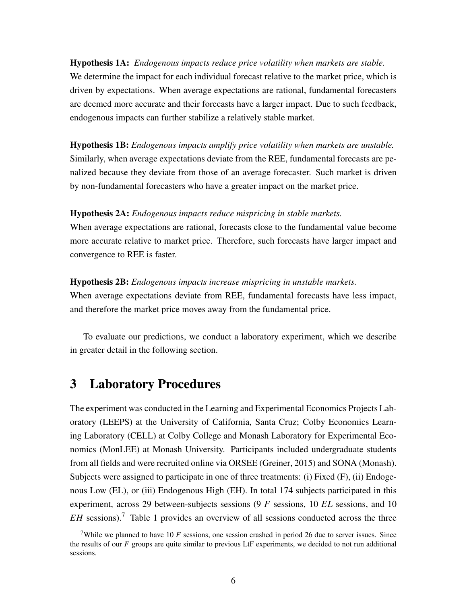Hypothesis 1A: *Endogenous impacts reduce price volatility when markets are stable.* We determine the impact for each individual forecast relative to the market price, which is driven by expectations. When average expectations are rational, fundamental forecasters are deemed more accurate and their forecasts have a larger impact. Due to such feedback, endogenous impacts can further stabilize a relatively stable market.

Hypothesis 1B: *Endogenous impacts amplify price volatility when markets are unstable.* Similarly, when average expectations deviate from the REE, fundamental forecasts are penalized because they deviate from those of an average forecaster. Such market is driven by non-fundamental forecasters who have a greater impact on the market price.

### Hypothesis 2A: *Endogenous impacts reduce mispricing in stable markets.*

When average expectations are rational, forecasts close to the fundamental value become more accurate relative to market price. Therefore, such forecasts have larger impact and convergence to REE is faster.

#### Hypothesis 2B: *Endogenous impacts increase mispricing in unstable markets.*

When average expectations deviate from REE, fundamental forecasts have less impact, and therefore the market price moves away from the fundamental price.

To evaluate our predictions, we conduct a laboratory experiment, which we describe in greater detail in the following section.

## 3 Laboratory Procedures

The experiment was conducted in the Learning and Experimental Economics Projects Laboratory (LEEPS) at the University of California, Santa Cruz; Colby Economics Learning Laboratory (CELL) at Colby College and Monash Laboratory for Experimental Economics (MonLEE) at Monash University. Participants included undergraduate students from all fields and were recruited online via ORSEE (Greiner, 2015) and SONA (Monash). Subjects were assigned to participate in one of three treatments: (i) Fixed (F), (ii) Endogenous Low (EL), or (iii) Endogenous High (EH). In total 174 subjects participated in this experiment, across 29 between-subjects sessions (9 *F* sessions, 10 *EL* sessions, and 10 *EH* sessions).<sup>7</sup> Table 1 provides an overview of all sessions conducted across the three

<sup>&</sup>lt;sup>7</sup>While we planned to have 10 *F* sessions, one session crashed in period 26 due to server issues. Since the results of our *F* groups are quite similar to previous LtF experiments, we decided to not run additional sessions.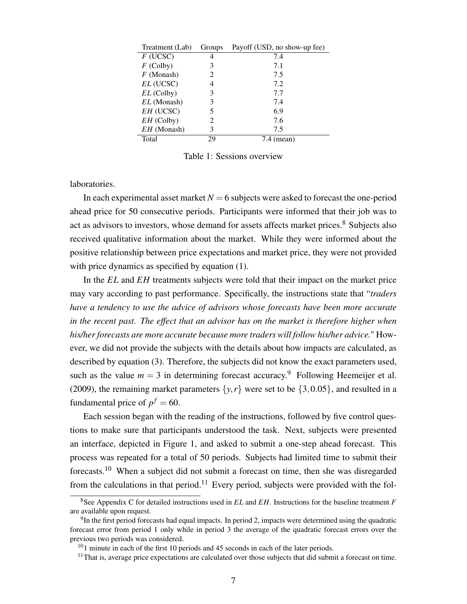| Treatment (Lab) | Groups         | Payoff (USD, no show-up fee) |
|-----------------|----------------|------------------------------|
| $F$ (UCSC)      |                | 7.4                          |
| $F$ (Colby)     | 3              | 7.1                          |
| $F$ (Monash)    | 2              | 7.5                          |
| $EL$ (UCSC)     | 4              | 7.2                          |
| $EL$ (Colby)    | 3              | 7.7                          |
| $EL$ (Monash)   | 3              | 7.4                          |
| $EH$ (UCSC)     | 5              | 6.9                          |
| $EH$ (Colby)    | $\mathfrak{D}$ | 7.6                          |
| $EH$ (Monash)   | 3              | 7.5                          |
| Total           | 29             | (mean)<br>7.4                |

Table 1: Sessions overview

laboratories.

In each experimental asset market  $N = 6$  subjects were asked to forecast the one-period ahead price for 50 consecutive periods. Participants were informed that their job was to act as advisors to investors, whose demand for assets affects market prices.<sup>8</sup> Subjects also received qualitative information about the market. While they were informed about the positive relationship between price expectations and market price, they were not provided with price dynamics as specified by equation  $(1)$ .

In the *EL* and *EH* treatments subjects were told that their impact on the market price may vary according to past performance. Specifically, the instructions state that "*traders have a tendency to use the advice of advisors whose forecasts have been more accurate in the recent past. The effect that an advisor has on the market is therefore higher when his/her forecasts are more accurate because more traders will follow his/her advice.*" However, we did not provide the subjects with the details about how impacts are calculated, as described by equation (3). Therefore, the subjects did not know the exact parameters used, such as the value  $m = 3$  in determining forecast accuracy.<sup>9</sup> Following Heemeijer et al. (2009), the remaining market parameters  $\{y, r\}$  were set to be  $\{3, 0.05\}$ , and resulted in a fundamental price of  $p^f = 60$ .

Each session began with the reading of the instructions, followed by five control questions to make sure that participants understood the task. Next, subjects were presented an interface, depicted in Figure 1, and asked to submit a one-step ahead forecast. This process was repeated for a total of 50 periods. Subjects had limited time to submit their forecasts.<sup>10</sup> When a subject did not submit a forecast on time, then she was disregarded from the calculations in that period.<sup>11</sup> Every period, subjects were provided with the fol-

<sup>8</sup>See Appendix C for detailed instructions used in *EL* and *EH*. Instructions for the baseline treatment *F* are available upon request.

 $9$ In the first period forecasts had equal impacts. In period 2, impacts were determined using the quadratic forecast error from period 1 only while in period 3 the average of the quadratic forecast errors over the previous two periods was considered.

<sup>&</sup>lt;sup>10</sup>1 minute in each of the first 10 periods and 45 seconds in each of the later periods.

 $11$ That is, average price expectations are calculated over those subjects that did submit a forecast on time.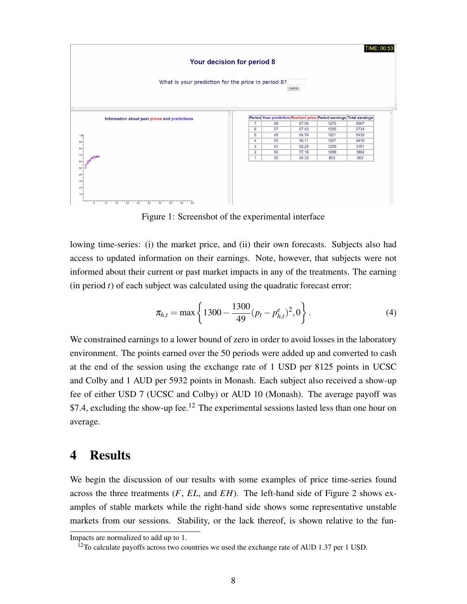

Figure 1: Screenshot of the experimental interface

lowing time-series: (i) the market price, and (ii) their own forecasts. Subjects also had access to updated information on their earnings. Note, however, that subjects were not informed about their current or past market impacts in any of the treatments. The earning (in period *t*) of each subject was calculated using the quadratic forecast error:

$$
\pi_{h,t} = \max\left\{1300 - \frac{1300}{49}(p_t - p_{h,t}^e)^2, 0\right\}.
$$
\n(4)

We constrained earnings to a lower bound of zero in order to avoid losses in the laboratory environment. The points earned over the 50 periods were added up and converted to cash at the end of the session using the exchange rate of 1 USD per 8125 points in UCSC and Colby and 1 AUD per 5932 points in Monash. Each subject also received a show-up fee of either USD 7 (UCSC and Colby) or AUD 10 (Monash). The average payoff was \$7.4, excluding the show-up fee.<sup>12</sup> The experimental sessions lasted less than one hour on average.

# 4 Results

We begin the discussion of our results with some examples of price time-series found across the three treatments (*F*, *EL*, and *EH*). The left-hand side of Figure 2 shows examples of stable markets while the right-hand side shows some representative unstable markets from our sessions. Stability, or the lack thereof, is shown relative to the fun-

Impacts are normalized to add up to 1.

 $12$ To calculate payoffs across two countries we used the exchange rate of AUD 1.37 per 1 USD.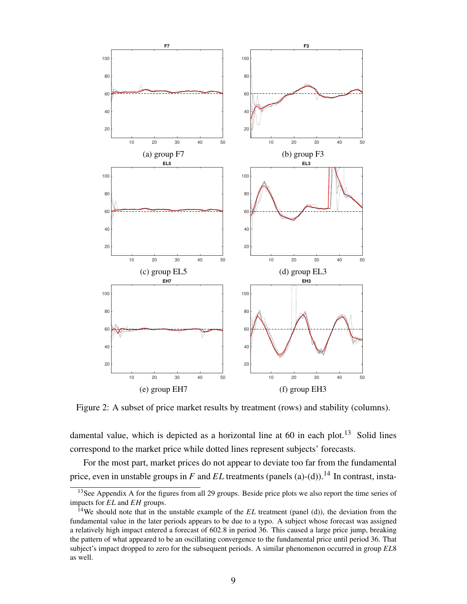

Figure 2: A subset of price market results by treatment (rows) and stability (columns).

damental value, which is depicted as a horizontal line at  $60$  in each plot.<sup>13</sup> Solid lines correspond to the market price while dotted lines represent subjects' forecasts.

For the most part, market prices do not appear to deviate too far from the fundamental price, even in unstable groups in *F* and *EL* treatments (panels (a)-(d)).<sup>14</sup> In contrast, insta-

<sup>&</sup>lt;sup>13</sup>See Appendix A for the figures from all 29 groups. Beside price plots we also report the time series of impacts for *EL* and *EH* groups.

<sup>14</sup>We should note that in the unstable example of the *EL* treatment (panel (d)), the deviation from the fundamental value in the later periods appears to be due to a typo. A subject whose forecast was assigned a relatively high impact entered a forecast of 602.8 in period 36. This caused a large price jump, breaking the pattern of what appeared to be an oscillating convergence to the fundamental price until period 36. That subject's impact dropped to zero for the subsequent periods. A similar phenomenon occurred in group *EL*8 as well.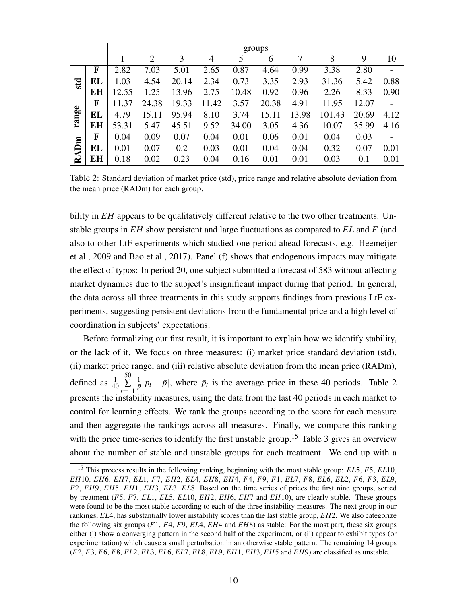|       |    | groups |       |       |           |       |       |       |        |       |      |
|-------|----|--------|-------|-------|-----------|-------|-------|-------|--------|-------|------|
|       |    |        | 2     | 3     | 4         | 5     | 6     | 7     | 8      | 9     | 10   |
|       | F  | 2.82   | 7.03  | 5.01  | 2.65      | 0.87  | 4.64  | 0.99  | 3.38   | 2.80  | -    |
| std   | EL | 1.03   | 4.54  | 20.14 | 2.34      | 0.73  | 3.35  | 2.93  | 31.36  | 5.42  | 0.88 |
|       | EH | 12.55  | 1.25  | 13.96 | 2.75      | 10.48 | 0.92  | 0.96  | 2.26   | 8.33  | 0.90 |
|       | F  | 11.37  | 24.38 | 19.33 | .42<br>11 | 3.57  | 20.38 | 4.91  | 11.95  | 12.07 |      |
| range | EL | 4.79   | 15.11 | 95.94 | 8.10      | 3.74  | 15.11 | 13.98 | 101.43 | 20.69 | 4.12 |
|       | EH | 53.31  | 5.47  | 45.51 | 9.52      | 34.00 | 3.05  | 4.36  | 10.07  | 35.99 | 4.16 |
|       | F  | 0.04   | 0.09  | 0.07  | 0.04      | 0.01  | 0.06  | 0.01  | 0.04   | 0.03  |      |
| RADm  | EL | 0.01   | 0.07  | 0.2   | 0.03      | 0.01  | 0.04  | 0.04  | 0.32   | 0.07  | 0.01 |
|       | EH | 0.18   | 0.02  | 0.23  | 0.04      | 0.16  | 0.01  | 0.01  | 0.03   | 0.1   | 0.01 |

Table 2: Standard deviation of market price (std), price range and relative absolute deviation from the mean price (RADm) for each group.

bility in *EH* appears to be qualitatively different relative to the two other treatments. Unstable groups in *EH* show persistent and large fluctuations as compared to *EL* and *F* (and also to other LtF experiments which studied one-period-ahead forecasts, e.g. Heemeijer et al., 2009 and Bao et al., 2017). Panel (f) shows that endogenous impacts may mitigate the effect of typos: In period 20, one subject submitted a forecast of 583 without affecting market dynamics due to the subject's insignificant impact during that period. In general, the data across all three treatments in this study supports findings from previous LtF experiments, suggesting persistent deviations from the fundamental price and a high level of coordination in subjects' expectations.

Before formalizing our first result, it is important to explain how we identify stability, or the lack of it. We focus on three measures: (i) market price standard deviation (std), (ii) market price range, and (iii) relative absolute deviation from the mean price (RADm), defined as  $\frac{1}{40}$ 50  $\sum_{t=11}$ 1  $\frac{1}{\bar{p}}$ | $p_t - \bar{p}$ |, where  $\bar{p}_t$  is the average price in these 40 periods. Table 2 presents the instability measures, using the data from the last 40 periods in each market to control for learning effects. We rank the groups according to the score for each measure and then aggregate the rankings across all measures. Finally, we compare this ranking with the price time-series to identify the first unstable group.<sup>15</sup> Table 3 gives an overview about the number of stable and unstable groups for each treatment. We end up with a

<sup>15</sup> This process results in the following ranking, beginning with the most stable group: *EL*5, *F*5, *EL*10, *EH*10, *EH*6, *EH*7, *EL*1, *F*7, *EH*2, *EL*4, *EH*8, *EH*4, *F*4, *F*9, *F*1, *EL*7, *F*8, *EL*6, *EL*2, *F*6, *F*3, *EL*9, *F*2, *EH*9, *EH*5, *EH*1, *EH*3, *EL*3, *EL*8. Based on the time series of prices the first nine groups, sorted by treatment (*F*5, *F*7, *EL*1, *EL*5, *EL*10, *EH*2, *EH*6, *EH*7 and *EH*10), are clearly stable. These groups were found to be the most stable according to each of the three instability measures. The next group in our rankings, *EL*4, has substantially lower instability scores than the last stable group, *EH*2. We also categorize the following six groups (*F*1, *F*4, *F*9, *EL*4, *EH*4 and *EH*8) as stable: For the most part, these six groups either (i) show a converging pattern in the second half of the experiment, or (ii) appear to exhibit typos (or experimentation) which cause a small perturbation in an otherwise stable pattern. The remaining 14 groups (*F*2, *F*3, *F*6, *F*8, *EL*2, *EL*3, *EL*6, *EL*7, *EL*8, *EL*9, *EH*1, *EH*3, *EH*5 and *EH*9) are classified as unstable.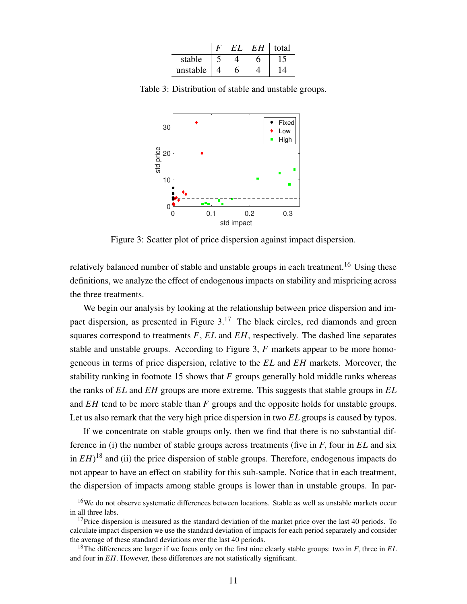|          |  | EН | total |
|----------|--|----|-------|
| stable   |  |    |       |
| unstable |  |    |       |

Table 3: Distribution of stable and unstable groups.



Figure 3: Scatter plot of price dispersion against impact dispersion.

relatively balanced number of stable and unstable groups in each treatment.<sup>16</sup> Using these definitions, we analyze the effect of endogenous impacts on stability and mispricing across the three treatments.

We begin our analysis by looking at the relationship between price dispersion and impact dispersion, as presented in Figure  $3<sup>17</sup>$ . The black circles, red diamonds and green squares correspond to treatments *F*, *EL* and *EH*, respectively. The dashed line separates stable and unstable groups. According to Figure 3, *F* markets appear to be more homogeneous in terms of price dispersion, relative to the *EL* and *EH* markets. Moreover, the stability ranking in footnote 15 shows that *F* groups generally hold middle ranks whereas the ranks of *EL* and *EH* groups are more extreme. This suggests that stable groups in *EL* and *EH* tend to be more stable than *F* groups and the opposite holds for unstable groups. Let us also remark that the very high price dispersion in two *EL* groups is caused by typos.

If we concentrate on stable groups only, then we find that there is no substantial difference in (i) the number of stable groups across treatments (five in *F*, four in *EL* and six in  $EH$ <sup>18</sup> and (ii) the price dispersion of stable groups. Therefore, endogenous impacts do not appear to have an effect on stability for this sub-sample. Notice that in each treatment, the dispersion of impacts among stable groups is lower than in unstable groups. In par-

<sup>&</sup>lt;sup>16</sup>We do not observe systematic differences between locations. Stable as well as unstable markets occur in all three labs.

 $17$ Price dispersion is measured as the standard deviation of the market price over the last 40 periods. To calculate impact dispersion we use the standard deviation of impacts for each period separately and consider the average of these standard deviations over the last 40 periods.

<sup>18</sup>The differences are larger if we focus only on the first nine clearly stable groups: two in *F*, three in *EL* and four in *EH*. However, these differences are not statistically significant.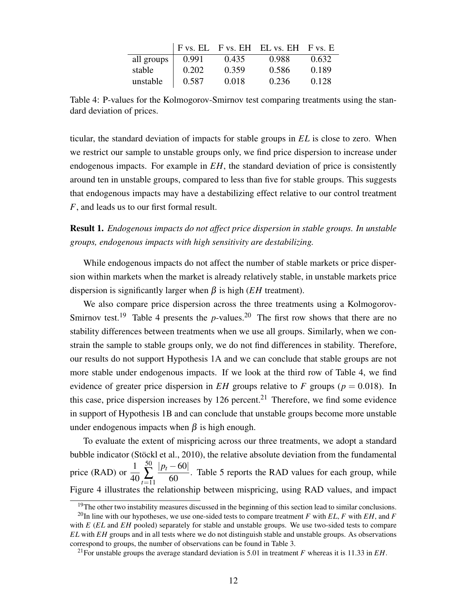|            |       |       | $F$ vs. EL F vs. EH EL vs. EH F vs. E |       |
|------------|-------|-------|---------------------------------------|-------|
| all groups | 0.991 | 0.435 | 0.988                                 | 0.632 |
| stable     | 0.202 | 0.359 | 0.586                                 | 0.189 |
| unstable   | 0.587 | 0.018 | 0.236                                 | 0.128 |

Table 4: P-values for the Kolmogorov-Smirnov test comparing treatments using the standard deviation of prices.

ticular, the standard deviation of impacts for stable groups in *EL* is close to zero. When we restrict our sample to unstable groups only, we find price dispersion to increase under endogenous impacts. For example in *EH*, the standard deviation of price is consistently around ten in unstable groups, compared to less than five for stable groups. This suggests that endogenous impacts may have a destabilizing effect relative to our control treatment *F*, and leads us to our first formal result.

Result 1. *Endogenous impacts do not affect price dispersion in stable groups. In unstable groups, endogenous impacts with high sensitivity are destabilizing.*

While endogenous impacts do not affect the number of stable markets or price dispersion within markets when the market is already relatively stable, in unstable markets price dispersion is significantly larger when  $\beta$  is high (*EH* treatment).

We also compare price dispersion across the three treatments using a Kolmogorov-Smirnov test.<sup>19</sup> Table 4 presents the  $p$ -values.<sup>20</sup> The first row shows that there are no stability differences between treatments when we use all groups. Similarly, when we constrain the sample to stable groups only, we do not find differences in stability. Therefore, our results do not support Hypothesis 1A and we can conclude that stable groups are not more stable under endogenous impacts. If we look at the third row of Table 4, we find evidence of greater price dispersion in  $EH$  groups relative to  $F$  groups ( $p = 0.018$ ). In this case, price dispersion increases by  $126$  percent.<sup>21</sup> Therefore, we find some evidence in support of Hypothesis 1B and can conclude that unstable groups become more unstable under endogenous impacts when  $β$  is high enough.

To evaluate the extent of mispricing across our three treatments, we adopt a standard bubble indicator (Stöckl et al., 2010), the relative absolute deviation from the fundamental price (RAD) or  $\frac{1}{40}$ 40 50  $\sum_{t=11}$ |*p<sup>t</sup>* −60| 60 . Table 5 reports the RAD values for each group, while Figure 4 illustrates the relationship between mispricing, using RAD values, and impact

 $19$ The other two instability measures discussed in the beginning of this section lead to similar conclusions.

 $^{20}$ In line with our hypotheses, we use one-sided tests to compare treatment *F* with *EL*, *F* with *EH*, and *F* with *E* (*EL* and *EH* pooled) separately for stable and unstable groups. We use two-sided tests to compare *EL* with *EH* groups and in all tests where we do not distinguish stable and unstable groups. As observations correspond to groups, the number of observations can be found in Table 3.

<sup>&</sup>lt;sup>21</sup>For unstable groups the average standard deviation is 5.01 in treatment *F* whereas it is 11.33 in *EH*.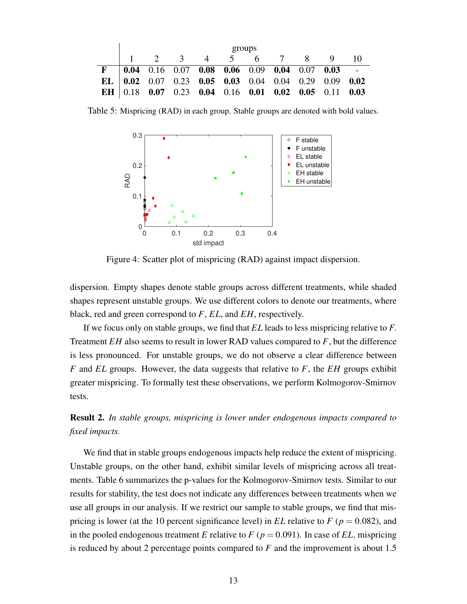|   | groups |  |                                                          |  |  |  |  |  |                |     |
|---|--------|--|----------------------------------------------------------|--|--|--|--|--|----------------|-----|
|   |        |  | 1 2 3 4 5 6 7 8                                          |  |  |  |  |  | $\overline{Q}$ | -10 |
| F |        |  | $0.04$ 0.16 0.07 0.08 0.06 0.09 0.04 0.07 0.03 -         |  |  |  |  |  |                |     |
|   |        |  | EL   $0.02$ 0.07 0.23 0.05 0.03 0.04 0.04 0.29 0.09 0.02 |  |  |  |  |  |                |     |
|   |        |  | EH 0.18 0.07 0.23 0.04 0.16 0.01 0.02 0.05 0.11 0.03     |  |  |  |  |  |                |     |

Table 5: Mispricing (RAD) in each group. Stable groups are denoted with bold values.



Figure 4: Scatter plot of mispricing (RAD) against impact dispersion.

dispersion. Empty shapes denote stable groups across different treatments, while shaded shapes represent unstable groups. We use different colors to denote our treatments, where black, red and green correspond to *F*, *EL*, and *EH*, respectively.

If we focus only on stable groups, we find that *EL* leads to less mispricing relative to *F*. Treatment *EH* also seems to result in lower RAD values compared to *F*, but the difference is less pronounced. For unstable groups, we do not observe a clear difference between *F* and *EL* groups. However, the data suggests that relative to *F*, the *EH* groups exhibit greater mispricing. To formally test these observations, we perform Kolmogorov-Smirnov tests.

Result 2. *In stable groups, mispricing is lower under endogenous impacts compared to fixed impacts.*

We find that in stable groups endogenous impacts help reduce the extent of mispricing. Unstable groups, on the other hand, exhibit similar levels of mispricing across all treatments. Table 6 summarizes the p-values for the Kolmogorov-Smirnov tests. Similar to our results for stability, the test does not indicate any differences between treatments when we use all groups in our analysis. If we restrict our sample to stable groups, we find that mispricing is lower (at the 10 percent significance level) in  $EL$  relative to  $F$  ( $p = 0.082$ ), and in the pooled endogenous treatment *E* relative to  $F$  ( $p = 0.091$ ). In case of *EL*, mispricing is reduced by about 2 percentage points compared to *F* and the improvement is about 1.5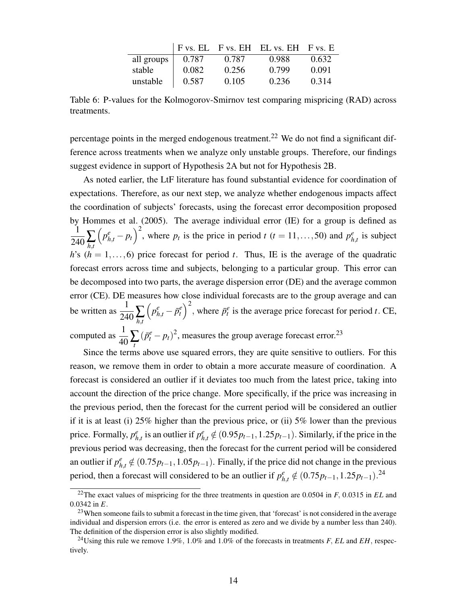|            |       |       | F vs. EL F vs. EH EL vs. EH F vs. E |       |
|------------|-------|-------|-------------------------------------|-------|
| all groups | 0.787 | 0.787 | 0.988                               | 0.632 |
| stable     | 0.082 | 0.256 | 0.799                               | 0.091 |
| unstable   | 0.587 | 0.105 | 0.236                               | 0.314 |

Table 6: P-values for the Kolmogorov-Smirnov test comparing mispricing (RAD) across treatments.

percentage points in the merged endogenous treatment.<sup>22</sup> We do not find a significant difference across treatments when we analyze only unstable groups. Therefore, our findings suggest evidence in support of Hypothesis 2A but not for Hypothesis 2B.

As noted earlier, the LtF literature has found substantial evidence for coordination of expectations. Therefore, as our next step, we analyze whether endogenous impacts affect the coordination of subjects' forecasts, using the forecast error decomposition proposed by Hommes et al. (2005). The average individual error (IE) for a group is defined as  $\frac{1}{240}$  $\sum_{h,t}$  $\left(p_{h,t}^e - p_t\right)^2$ , where  $p_t$  is the price in period *t* (*t* = 11,...,50) and  $p_h^e$  $_{h,t}^e$  is subject *h*'s ( $h = 1, \ldots, 6$ ) price forecast for period *t*. Thus, IE is the average of the quadratic forecast errors across time and subjects, belonging to a particular group. This error can be decomposed into two parts, the average dispersion error (DE) and the average common error (CE). DE measures how close individual forecasts are to the group average and can be written as  $\frac{1}{240} \sum_{h,t}$  $\left(p_{h,t}^e - \bar{p}_t^e\right)^2$ , where  $\bar{p}_t^e$  is the average price forecast for period *t*. CE, computed as  $\frac{1}{40} \sum_{t}$  $(\bar{p}_t^e - p_t)^2$ , measures the group average forecast error.<sup>23</sup>

Since the terms above use squared errors, they are quite sensitive to outliers. For this reason, we remove them in order to obtain a more accurate measure of coordination. A forecast is considered an outlier if it deviates too much from the latest price, taking into account the direction of the price change. More specifically, if the price was increasing in the previous period, then the forecast for the current period will be considered an outlier if it is at least (i) 25% higher than the previous price, or (ii) 5% lower than the previous price. Formally, *p e*  $_{h,t}^e$  is an outlier if  $p_{h,t}^e \notin (0.95p_{t-1}, 1.25p_{t-1})$ . Similarly, if the price in the previous period was decreasing, then the forecast for the current period will be considered an outlier if  $p_{h,t}^e \notin (0.75p_{t-1}, 1.05p_{t-1})$ . Finally, if the price did not change in the previous period, then a forecast will considered to be an outlier if  $p_{h,t}^e \notin (0.75p_{t-1}, 1.25p_{t-1})$ .<sup>24</sup>

<sup>22</sup>The exact values of mispricing for the three treatments in question are 0.0504 in *F*, 0.0315 in *EL* and 0.0342 in *E*.

<sup>&</sup>lt;sup>23</sup>When someone fails to submit a forecast in the time given, that 'forecast' is not considered in the average individual and dispersion errors (i.e. the error is entered as zero and we divide by a number less than 240). The definition of the dispersion error is also slightly modified.

<sup>24</sup>Using this rule we remove 1.9%, 1.0% and 1.0% of the forecasts in treatments *F*, *EL* and *EH*, respectively.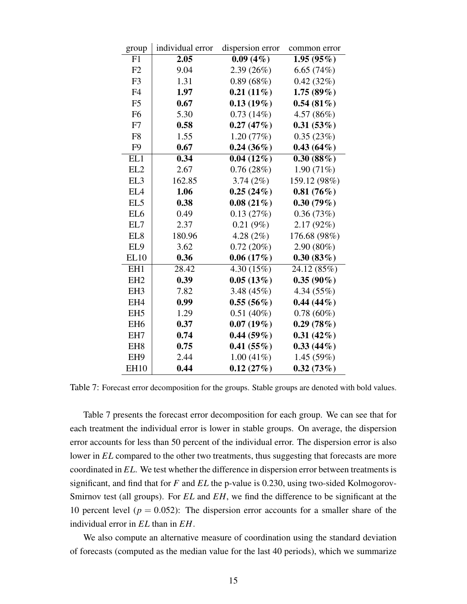| group           | individual error | dispersion error        | common error |
|-----------------|------------------|-------------------------|--------------|
| F1              | 2.05             | $\overline{0.09} (4\%)$ | 1.95(95%)    |
| F2              | 9.04             | 2.39(26%)               | 6.65(74%)    |
| F <sub>3</sub>  | 1.31             | 0.89(68%)               | 0.42(32%)    |
| F4              | 1.97             | $0.21(11\%)$            | 1.75(89%)    |
| F <sub>5</sub>  | 0.67             | $0.13(19\%)$            | 0.54(81%)    |
| F <sub>6</sub>  | 5.30             | 0.73(14%)               | 4.57(86%)    |
| F7              | 0.58             | 0.27(47%)               | 0.31(53%)    |
| F <sub>8</sub>  | 1.55             | 1.20(77%)               | 0.35(23%)    |
| F <sub>9</sub>  | 0.67             | $0.24(36\%)$            | 0.43(64%)    |
| EL1             | 0.34             | $0.04(12\%)$            | 0.30(88%)    |
| EL <sub>2</sub> | 2.67             | 0.76(28%)               | 1.90(71%)    |
| EL3             | 162.85           | 3.74(2%)                | 159.12 (98%) |
| EL4             | 1.06             | 0.25(24%)               | 0.81(76%)    |
| EL <sub>5</sub> | 0.38             | $0.08(21\%)$            | 0.30(79%)    |
| EL6             | 0.49             | 0.13(27%)               | 0.36(73%)    |
| EL7             | 2.37             | $0.21(9\%)$             | 2.17(92%)    |
| EL8             | 180.96           | 4.28 $(2\%)$            | 176.68 (98%) |
| EL9             | 3.62             | 0.72(20%)               | $2.90(80\%)$ |
| <b>EL10</b>     | 0.36             | 0.06(17%)               | 0.30(83%)    |
| EH1             | 28.42            | 4.30(15%)               | 24.12 (85%)  |
| EH <sub>2</sub> | 0.39             | 0.05(13%)               | $0.35(90\%)$ |
| EH <sub>3</sub> | 7.82             | 3.48(45%)               | 4.34(55%)    |
| EH4             | 0.99             | 0.55(56%)               | $0.44(44\%)$ |
| EH <sub>5</sub> | 1.29             | $0.51(40\%)$            | $0.78(60\%)$ |
| EH <sub>6</sub> | 0.37             | $0.07(19\%)$            | 0.29(78%)    |
| EH7             | 0.74             | 0.44(59%)               | $0.31(42\%)$ |
| EH <sub>8</sub> | 0.75             | 0.41(55%)               | $0.33(44\%)$ |
| EH <sub>9</sub> | 2.44             | $1.00(41\%)$            | 1.45(59%)    |
| <b>EH10</b>     | 0.44             | 0.12(27%)               | 0.32(73%)    |

Table 7: Forecast error decomposition for the groups. Stable groups are denoted with bold values.

Table 7 presents the forecast error decomposition for each group. We can see that for each treatment the individual error is lower in stable groups. On average, the dispersion error accounts for less than 50 percent of the individual error. The dispersion error is also lower in *EL* compared to the other two treatments, thus suggesting that forecasts are more coordinated in *EL*. We test whether the difference in dispersion error between treatments is significant, and find that for *F* and *EL* the p-value is 0.230, using two-sided Kolmogorov-Smirnov test (all groups). For *EL* and *EH*, we find the difference to be significant at the 10 percent level ( $p = 0.052$ ): The dispersion error accounts for a smaller share of the individual error in *EL* than in *EH*.

We also compute an alternative measure of coordination using the standard deviation of forecasts (computed as the median value for the last 40 periods), which we summarize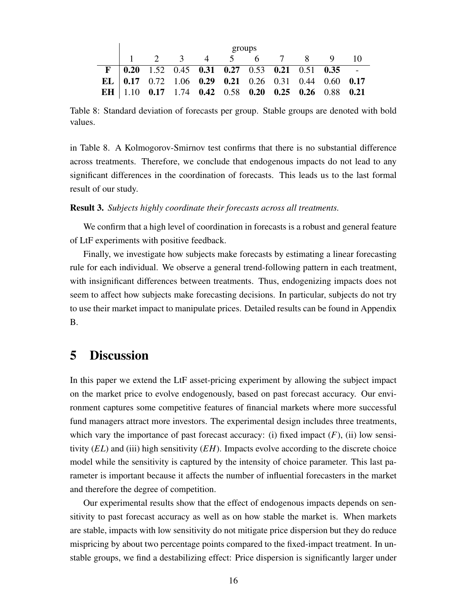| groups |  |  |  |  |  |  |                                                               |  |  |
|--------|--|--|--|--|--|--|---------------------------------------------------------------|--|--|
|        |  |  |  |  |  |  | 1 2 3 4 5 6 7 8 9 10                                          |  |  |
|        |  |  |  |  |  |  | $\mathbf{F}$   0.20 1.52 0.45 0.31 0.27 0.53 0.21 0.51 0.35 - |  |  |
|        |  |  |  |  |  |  | EL   $0.17$ 0.72 1.06 0.29 0.21 0.26 0.31 0.44 0.60 0.17      |  |  |
|        |  |  |  |  |  |  | EH   1.10 0.17 1.74 0.42 0.58 0.20 0.25 0.26 0.88 0.21        |  |  |

Table 8: Standard deviation of forecasts per group. Stable groups are denoted with bold values.

in Table 8. A Kolmogorov-Smirnov test confirms that there is no substantial difference across treatments. Therefore, we conclude that endogenous impacts do not lead to any significant differences in the coordination of forecasts. This leads us to the last formal result of our study.

Result 3. *Subjects highly coordinate their forecasts across all treatments.*

We confirm that a high level of coordination in forecasts is a robust and general feature of LtF experiments with positive feedback.

Finally, we investigate how subjects make forecasts by estimating a linear forecasting rule for each individual. We observe a general trend-following pattern in each treatment, with insignificant differences between treatments. Thus, endogenizing impacts does not seem to affect how subjects make forecasting decisions. In particular, subjects do not try to use their market impact to manipulate prices. Detailed results can be found in Appendix B.

## 5 Discussion

In this paper we extend the LtF asset-pricing experiment by allowing the subject impact on the market price to evolve endogenously, based on past forecast accuracy. Our environment captures some competitive features of financial markets where more successful fund managers attract more investors. The experimental design includes three treatments, which vary the importance of past forecast accuracy: (i) fixed impact  $(F)$ , (ii) low sensitivity (*EL*) and (iii) high sensitivity (*EH*). Impacts evolve according to the discrete choice model while the sensitivity is captured by the intensity of choice parameter. This last parameter is important because it affects the number of influential forecasters in the market and therefore the degree of competition.

Our experimental results show that the effect of endogenous impacts depends on sensitivity to past forecast accuracy as well as on how stable the market is. When markets are stable, impacts with low sensitivity do not mitigate price dispersion but they do reduce mispricing by about two percentage points compared to the fixed-impact treatment. In unstable groups, we find a destabilizing effect: Price dispersion is significantly larger under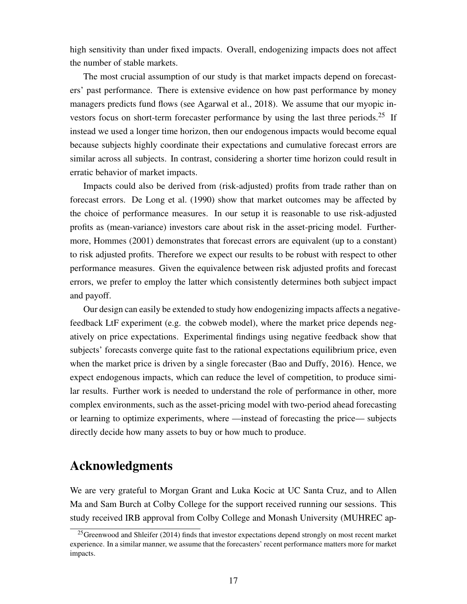high sensitivity than under fixed impacts. Overall, endogenizing impacts does not affect the number of stable markets.

The most crucial assumption of our study is that market impacts depend on forecasters' past performance. There is extensive evidence on how past performance by money managers predicts fund flows (see Agarwal et al., 2018). We assume that our myopic investors focus on short-term forecaster performance by using the last three periods.<sup>25</sup> If instead we used a longer time horizon, then our endogenous impacts would become equal because subjects highly coordinate their expectations and cumulative forecast errors are similar across all subjects. In contrast, considering a shorter time horizon could result in erratic behavior of market impacts.

Impacts could also be derived from (risk-adjusted) profits from trade rather than on forecast errors. De Long et al. (1990) show that market outcomes may be affected by the choice of performance measures. In our setup it is reasonable to use risk-adjusted profits as (mean-variance) investors care about risk in the asset-pricing model. Furthermore, Hommes (2001) demonstrates that forecast errors are equivalent (up to a constant) to risk adjusted profits. Therefore we expect our results to be robust with respect to other performance measures. Given the equivalence between risk adjusted profits and forecast errors, we prefer to employ the latter which consistently determines both subject impact and payoff.

Our design can easily be extended to study how endogenizing impacts affects a negativefeedback LtF experiment (e.g. the cobweb model), where the market price depends negatively on price expectations. Experimental findings using negative feedback show that subjects' forecasts converge quite fast to the rational expectations equilibrium price, even when the market price is driven by a single forecaster (Bao and Duffy, 2016). Hence, we expect endogenous impacts, which can reduce the level of competition, to produce similar results. Further work is needed to understand the role of performance in other, more complex environments, such as the asset-pricing model with two-period ahead forecasting or learning to optimize experiments, where —instead of forecasting the price— subjects directly decide how many assets to buy or how much to produce.

## Acknowledgments

We are very grateful to Morgan Grant and Luka Kocic at UC Santa Cruz, and to Allen Ma and Sam Burch at Colby College for the support received running our sessions. This study received IRB approval from Colby College and Monash University (MUHREC ap-

 $^{25}$ Greenwood and Shleifer (2014) finds that investor expectations depend strongly on most recent market experience. In a similar manner, we assume that the forecasters' recent performance matters more for market impacts.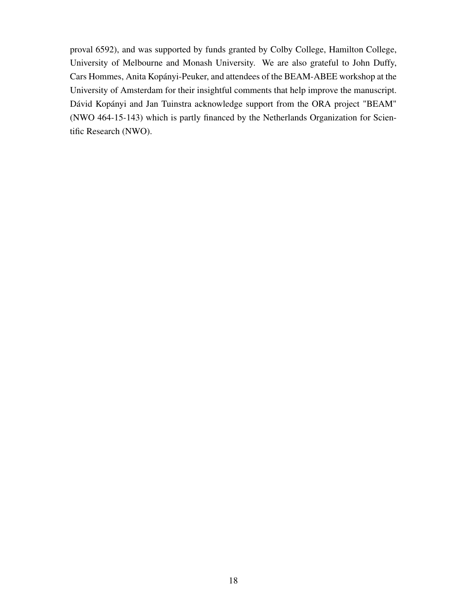proval 6592), and was supported by funds granted by Colby College, Hamilton College, University of Melbourne and Monash University. We are also grateful to John Duffy, Cars Hommes, Anita Kopányi-Peuker, and attendees of the BEAM-ABEE workshop at the University of Amsterdam for their insightful comments that help improve the manuscript. Dávid Kopányi and Jan Tuinstra acknowledge support from the ORA project "BEAM" (NWO 464-15-143) which is partly financed by the Netherlands Organization for Scientific Research (NWO).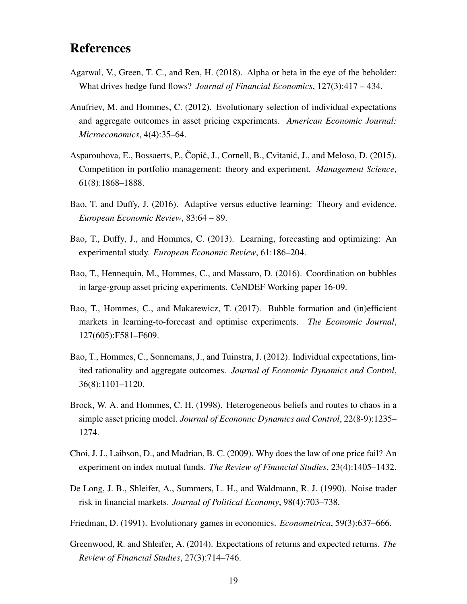# References

- Agarwal, V., Green, T. C., and Ren, H. (2018). Alpha or beta in the eye of the beholder: What drives hedge fund flows? *Journal of Financial Economics*, 127(3):417 – 434.
- Anufriev, M. and Hommes, C. (2012). Evolutionary selection of individual expectations and aggregate outcomes in asset pricing experiments. *American Economic Journal: Microeconomics*, 4(4):35–64.
- Asparouhova, E., Bossaerts, P., Čopič, J., Cornell, B., Cvitanić, J., and Meloso, D. (2015). Competition in portfolio management: theory and experiment. *Management Science*, 61(8):1868–1888.
- Bao, T. and Duffy, J. (2016). Adaptive versus eductive learning: Theory and evidence. *European Economic Review*, 83:64 – 89.
- Bao, T., Duffy, J., and Hommes, C. (2013). Learning, forecasting and optimizing: An experimental study. *European Economic Review*, 61:186–204.
- Bao, T., Hennequin, M., Hommes, C., and Massaro, D. (2016). Coordination on bubbles in large-group asset pricing experiments. CeNDEF Working paper 16-09.
- Bao, T., Hommes, C., and Makarewicz, T. (2017). Bubble formation and (in)efficient markets in learning-to-forecast and optimise experiments. *The Economic Journal*, 127(605):F581–F609.
- Bao, T., Hommes, C., Sonnemans, J., and Tuinstra, J. (2012). Individual expectations, limited rationality and aggregate outcomes. *Journal of Economic Dynamics and Control*, 36(8):1101–1120.
- Brock, W. A. and Hommes, C. H. (1998). Heterogeneous beliefs and routes to chaos in a simple asset pricing model. *Journal of Economic Dynamics and Control*, 22(8-9):1235– 1274.
- Choi, J. J., Laibson, D., and Madrian, B. C. (2009). Why does the law of one price fail? An experiment on index mutual funds. *The Review of Financial Studies*, 23(4):1405–1432.
- De Long, J. B., Shleifer, A., Summers, L. H., and Waldmann, R. J. (1990). Noise trader risk in financial markets. *Journal of Political Economy*, 98(4):703–738.
- Friedman, D. (1991). Evolutionary games in economics. *Econometrica*, 59(3):637–666.
- Greenwood, R. and Shleifer, A. (2014). Expectations of returns and expected returns. *The Review of Financial Studies*, 27(3):714–746.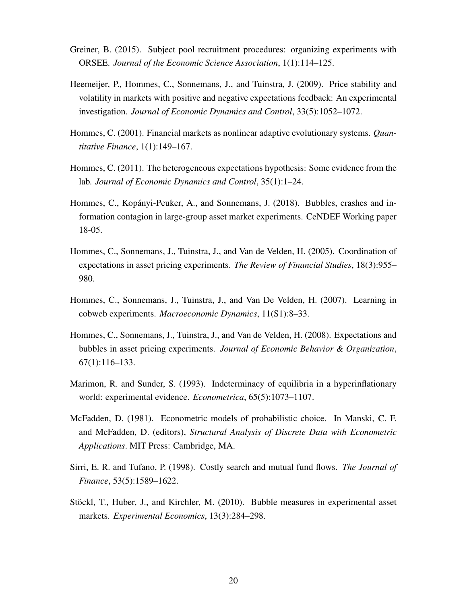- Greiner, B. (2015). Subject pool recruitment procedures: organizing experiments with ORSEE. *Journal of the Economic Science Association*, 1(1):114–125.
- Heemeijer, P., Hommes, C., Sonnemans, J., and Tuinstra, J. (2009). Price stability and volatility in markets with positive and negative expectations feedback: An experimental investigation. *Journal of Economic Dynamics and Control*, 33(5):1052–1072.
- Hommes, C. (2001). Financial markets as nonlinear adaptive evolutionary systems. *Quantitative Finance*, 1(1):149–167.
- Hommes, C. (2011). The heterogeneous expectations hypothesis: Some evidence from the lab. *Journal of Economic Dynamics and Control*, 35(1):1–24.
- Hommes, C., Kopányi-Peuker, A., and Sonnemans, J. (2018). Bubbles, crashes and information contagion in large-group asset market experiments. CeNDEF Working paper 18-05.
- Hommes, C., Sonnemans, J., Tuinstra, J., and Van de Velden, H. (2005). Coordination of expectations in asset pricing experiments. *The Review of Financial Studies*, 18(3):955– 980.
- Hommes, C., Sonnemans, J., Tuinstra, J., and Van De Velden, H. (2007). Learning in cobweb experiments. *Macroeconomic Dynamics*, 11(S1):8–33.
- Hommes, C., Sonnemans, J., Tuinstra, J., and Van de Velden, H. (2008). Expectations and bubbles in asset pricing experiments. *Journal of Economic Behavior & Organization*, 67(1):116–133.
- Marimon, R. and Sunder, S. (1993). Indeterminacy of equilibria in a hyperinflationary world: experimental evidence. *Econometrica*, 65(5):1073–1107.
- McFadden, D. (1981). Econometric models of probabilistic choice. In Manski, C. F. and McFadden, D. (editors), *Structural Analysis of Discrete Data with Econometric Applications*. MIT Press: Cambridge, MA.
- Sirri, E. R. and Tufano, P. (1998). Costly search and mutual fund flows. *The Journal of Finance*, 53(5):1589–1622.
- Stöckl, T., Huber, J., and Kirchler, M. (2010). Bubble measures in experimental asset markets. *Experimental Economics*, 13(3):284–298.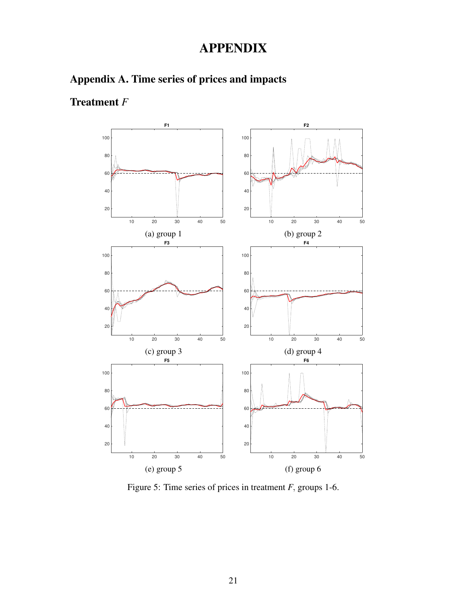# APPENDIX





# Treatment *F*

Figure 5: Time series of prices in treatment *F*, groups 1-6.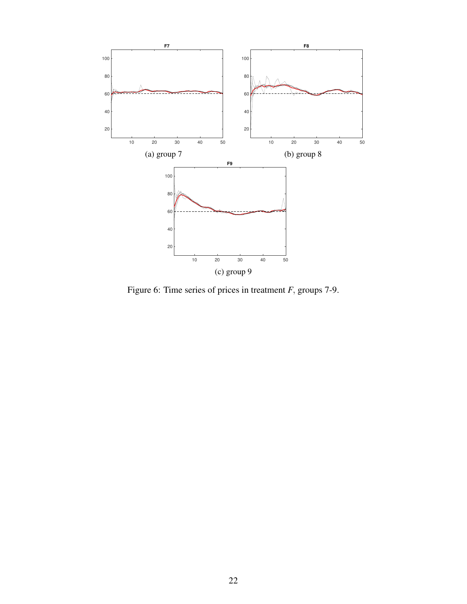

Figure 6: Time series of prices in treatment *F*, groups 7-9.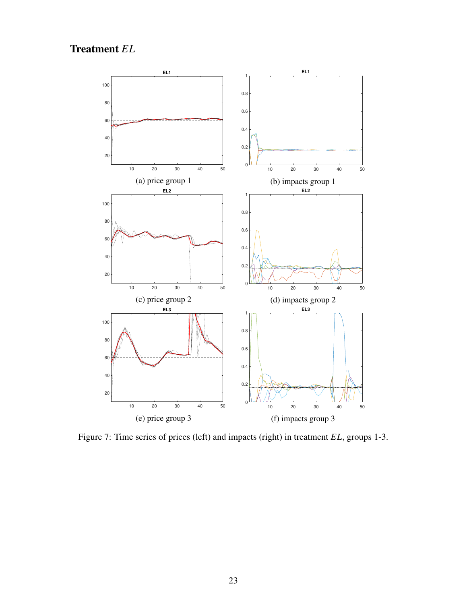# Treatment *EL*



Figure 7: Time series of prices (left) and impacts (right) in treatment *EL*, groups 1-3.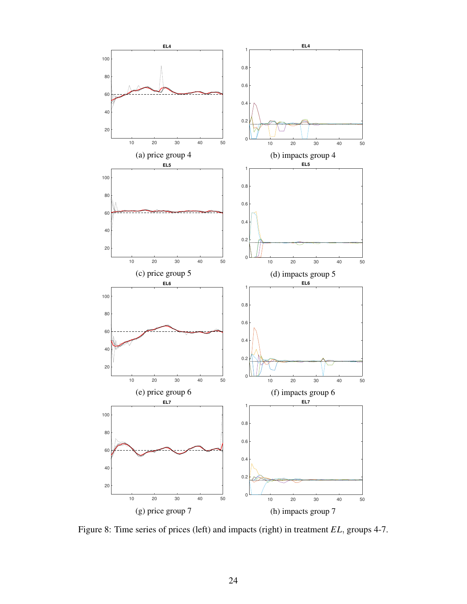

Figure 8: Time series of prices (left) and impacts (right) in treatment *EL*, groups 4-7.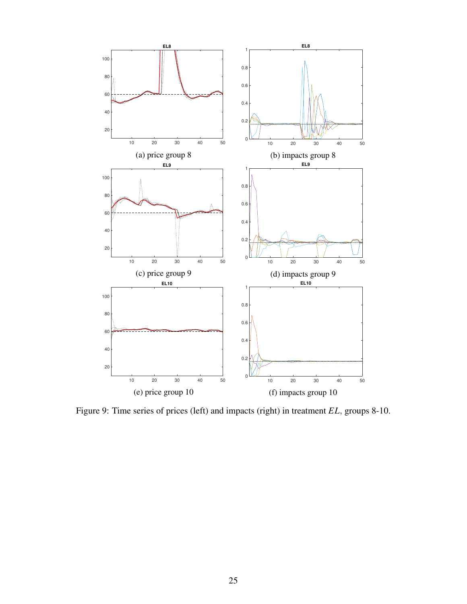

Figure 9: Time series of prices (left) and impacts (right) in treatment *EL*, groups 8-10.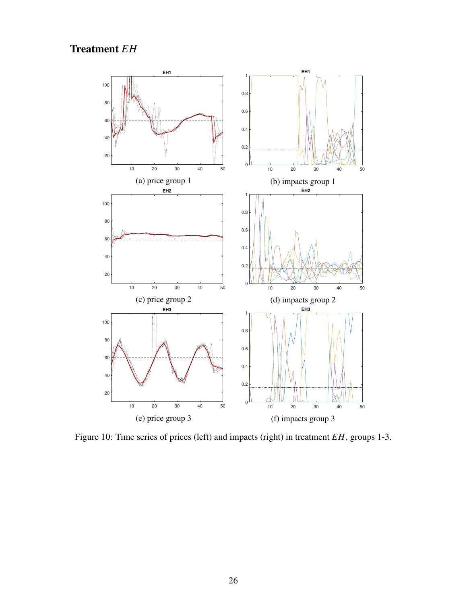Treatment *EH*



Figure 10: Time series of prices (left) and impacts (right) in treatment *EH*, groups 1-3.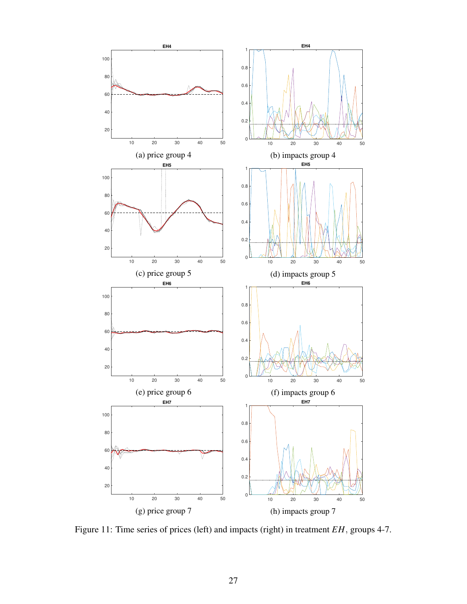

Figure 11: Time series of prices (left) and impacts (right) in treatment *EH*, groups 4-7.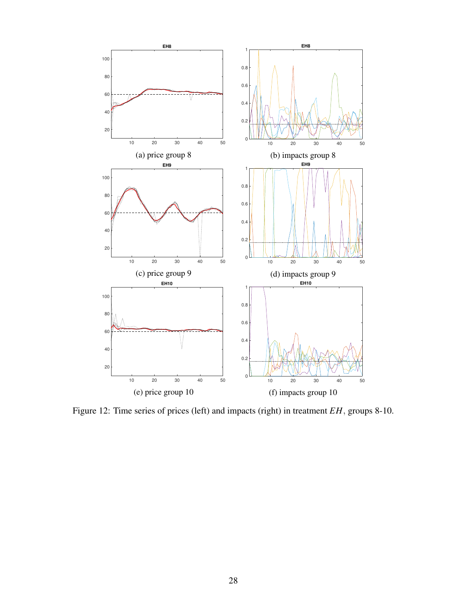

Figure 12: Time series of prices (left) and impacts (right) in treatment *EH*, groups 8-10.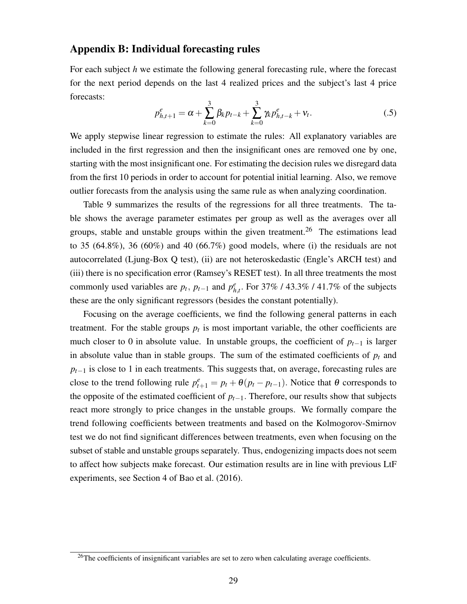### Appendix B: Individual forecasting rules

For each subject *h* we estimate the following general forecasting rule, where the forecast for the next period depends on the last 4 realized prices and the subject's last 4 price forecasts:

$$
p_{h,t+1}^e = \alpha + \sum_{k=0}^3 \beta_k p_{t-k} + \sum_{k=0}^3 \gamma_k p_{h,t-k}^e + v_t.
$$
 (.5)

We apply stepwise linear regression to estimate the rules: All explanatory variables are included in the first regression and then the insignificant ones are removed one by one, starting with the most insignificant one. For estimating the decision rules we disregard data from the first 10 periods in order to account for potential initial learning. Also, we remove outlier forecasts from the analysis using the same rule as when analyzing coordination.

Table 9 summarizes the results of the regressions for all three treatments. The table shows the average parameter estimates per group as well as the averages over all groups, stable and unstable groups within the given treatment.<sup>26</sup> The estimations lead to 35  $(64.8\%)$ , 36  $(60\%)$  and 40  $(66.7\%)$  good models, where (i) the residuals are not autocorrelated (Ljung-Box Q test), (ii) are not heteroskedastic (Engle's ARCH test) and (iii) there is no specification error (Ramsey's RESET test). In all three treatments the most commonly used variables are  $p_t$ ,  $p_{t-1}$  and  $p_h^e$ *h*,*t* . For 37% / 43.3% / 41.7% of the subjects these are the only significant regressors (besides the constant potentially).

Focusing on the average coefficients, we find the following general patterns in each treatment. For the stable groups  $p_t$  is most important variable, the other coefficients are much closer to 0 in absolute value. In unstable groups, the coefficient of  $p_{t-1}$  is larger in absolute value than in stable groups. The sum of the estimated coefficients of  $p<sub>t</sub>$  and  $p_{t-1}$  is close to 1 in each treatments. This suggests that, on average, forecasting rules are close to the trend following rule  $p_{t+1}^e = p_t + \theta(p_t - p_{t-1})$ . Notice that  $\theta$  corresponds to the opposite of the estimated coefficient of  $p_{t-1}$ . Therefore, our results show that subjects react more strongly to price changes in the unstable groups. We formally compare the trend following coefficients between treatments and based on the Kolmogorov-Smirnov test we do not find significant differences between treatments, even when focusing on the subset of stable and unstable groups separately. Thus, endogenizing impacts does not seem to affect how subjects make forecast. Our estimation results are in line with previous LtF experiments, see Section 4 of Bao et al. (2016).

 $26$ The coefficients of insignificant variables are set to zero when calculating average coefficients.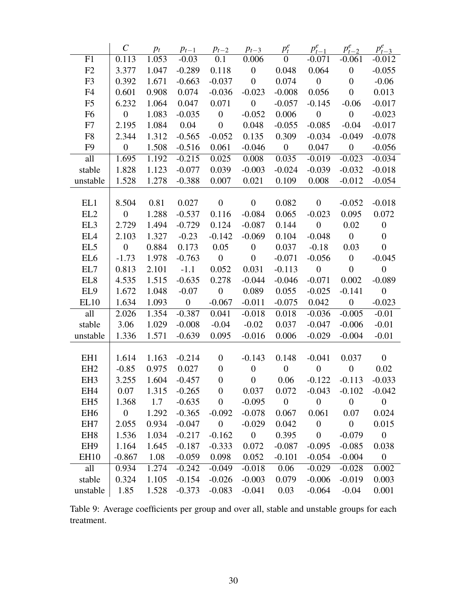|                 | $\mathcal{C}_{0}^{0}$ | $p_t$ | $p_{t-1}$        | $p_{t-2}$        | $p_{t-3}$        | $p_t^e$          | $p_{t-1}^e$      | $p_{t-2}^e$      | $p_{t-3}^e$      |
|-----------------|-----------------------|-------|------------------|------------------|------------------|------------------|------------------|------------------|------------------|
| F1              | 0.113                 | 1.053 | $-0.03$          | 0.1              | 0.006            | $\boldsymbol{0}$ | $-0.071$         | $-0.061$         | $-0.012$         |
| F2              | 3.377                 | 1.047 | $-0.289$         | 0.118            | $\overline{0}$   | 0.048            | 0.064            | $\boldsymbol{0}$ | $-0.055$         |
| F <sub>3</sub>  | 0.392                 | 1.671 | $-0.663$         | $-0.037$         | $\boldsymbol{0}$ | 0.074            | $\boldsymbol{0}$ | $\boldsymbol{0}$ | $-0.06$          |
| F4              | 0.601                 | 0.908 | 0.074            | $-0.036$         | $-0.023$         | $-0.008$         | 0.056            | $\overline{0}$   | 0.013            |
| F <sub>5</sub>  | 6.232                 | 1.064 | 0.047            | 0.071            | $\boldsymbol{0}$ | $-0.057$         | $-0.145$         | $-0.06$          | $-0.017$         |
| F <sub>6</sub>  | $\overline{0}$        | 1.083 | $-0.035$         | $\boldsymbol{0}$ | $-0.052$         | 0.006            | $\boldsymbol{0}$ | $\mathbf{0}$     | $-0.023$         |
| F7              | 2.195                 | 1.084 | 0.04             | $\boldsymbol{0}$ | 0.048            | $-0.055$         | $-0.085$         | $-0.04$          | $-0.017$         |
| F <sub>8</sub>  | 2.344                 | 1.312 | $-0.565$         | $-0.052$         | 0.135            | 0.309            | $-0.034$         | $-0.049$         | $-0.078$         |
| F <sub>9</sub>  | $\boldsymbol{0}$      | 1.508 | $-0.516$         | 0.061            | $-0.046$         | $\overline{0}$   | 0.047            | $\boldsymbol{0}$ | $-0.056$         |
| all             | 1.695                 | 1.192 | $-0.215$         | 0.025            | 0.008            | 0.035            | $-0.019$         | $-0.023$         | $-0.034$         |
| stable          | 1.828                 | 1.123 | $-0.077$         | 0.039            | $-0.003$         | $-0.024$         | $-0.039$         | $-0.032$         | $-0.018$         |
| unstable        | 1.528                 | 1.278 | $-0.388$         | 0.007            | 0.021            | 0.109            | 0.008            | $-0.012$         | $-0.054$         |
| EL1             | 8.504                 | 0.81  | 0.027            | $\boldsymbol{0}$ | $\boldsymbol{0}$ | 0.082            | $\boldsymbol{0}$ | $-0.052$         | $-0.018$         |
| EL <sub>2</sub> | $\boldsymbol{0}$      | 1.288 | $-0.537$         | 0.116            | $-0.084$         | 0.065            | $-0.023$         | 0.095            | 0.072            |
| EL3             | 2.729                 | 1.494 | $-0.729$         | 0.124            | $-0.087$         | 0.144            | $\mathbf{0}$     | 0.02             | $\mathbf{0}$     |
| EL4             | 2.103                 | 1.327 | $-0.23$          | $-0.142$         | $-0.069$         | 0.104            | $-0.048$         | $\overline{0}$   | $\boldsymbol{0}$ |
| EL <sub>5</sub> | $\overline{0}$        | 0.884 | 0.173            | 0.05             | $\boldsymbol{0}$ | 0.037            | $-0.18$          | 0.03             | $\overline{0}$   |
| EL <sub>6</sub> | $-1.73$               | 1.978 | $-0.763$         | $\boldsymbol{0}$ | $\boldsymbol{0}$ | $-0.071$         | $-0.056$         | $\boldsymbol{0}$ | $-0.045$         |
| EL7             | 0.813                 | 2.101 | $-1.1$           | 0.052            | 0.031            | $-0.113$         | $\boldsymbol{0}$ | $\overline{0}$   | $\boldsymbol{0}$ |
| EL <sub>8</sub> | 4.535                 | 1.515 | $-0.635$         | 0.278            | $-0.044$         | $-0.046$         | $-0.071$         | 0.002            | $-0.089$         |
| EL9             | 1.672                 | 1.048 | $-0.07$          | $\boldsymbol{0}$ | 0.089            | 0.055            | $-0.025$         | $-0.141$         | $\mathbf{0}$     |
| EL10            | 1.634                 | 1.093 | $\boldsymbol{0}$ | $-0.067$         | $-0.011$         | $-0.075$         | 0.042            | $\boldsymbol{0}$ | $-0.023$         |
| all             | 2.026                 | 1.354 | $-0.387$         | 0.041            | $-0.018$         | 0.018            | $-0.036$         | $-0.005$         | $-0.01$          |
| stable          | 3.06                  | 1.029 | $-0.008$         | $-0.04$          | $-0.02$          | 0.037            | $-0.047$         | $-0.006$         | $-0.01$          |
| unstable        | 1.336                 | 1.571 | $-0.639$         | 0.095            | $-0.016$         | 0.006            | $-0.029$         | $-0.004$         | $-0.01$          |
| EH <sub>1</sub> | 1.614                 | 1.163 | $-0.214$         | $\boldsymbol{0}$ | $-0.143$         | 0.148            | $-0.041$         | 0.037            | $\mathbf{0}$     |
| EH <sub>2</sub> | $-0.85$               | 0.975 | 0.027            | $\boldsymbol{0}$ | $\boldsymbol{0}$ | $\boldsymbol{0}$ | $\boldsymbol{0}$ | $\boldsymbol{0}$ | 0.02             |
| EH <sub>3</sub> | 3.255                 | 1.604 | $-0.457$         | $\boldsymbol{0}$ | $\overline{0}$   | 0.06             | $-0.122$         | $-0.113$         | $-0.033$         |
| EH <sub>4</sub> | 0.07                  | 1.315 | $-0.265$         | $\boldsymbol{0}$ | 0.037            | 0.072            | $-0.043$         | $-0.102$         | $-0.042$         |
| EH <sub>5</sub> | 1.368                 | 1.7   | $-0.635$         | $\boldsymbol{0}$ | $-0.095$         | $\boldsymbol{0}$ | $\boldsymbol{0}$ | $\overline{0}$   | $\boldsymbol{0}$ |
| EH <sub>6</sub> | $\boldsymbol{0}$      | 1.292 | $-0.365$         | $-0.092$         | $-0.078$         | 0.067            | 0.061            | 0.07             | 0.024            |
| EH7             | 2.055                 | 0.934 | $-0.047$         | $\boldsymbol{0}$ | $-0.029$         | 0.042            | $\boldsymbol{0}$ | $\boldsymbol{0}$ | 0.015            |
| EH <sub>8</sub> | 1.536                 | 1.034 | $-0.217$         | $-0.162$         | $\overline{0}$   | 0.395            | $\boldsymbol{0}$ | $-0.079$         | $\overline{0}$   |
| EH <sub>9</sub> | 1.164                 | 1.645 | $-0.187$         | $-0.333$         | 0.072            | $-0.087$         | $-0.095$         | $-0.085$         | 0.038            |
| <b>EH10</b>     | $-0.867$              | 1.08  | $-0.059$         | 0.098            | 0.052            | $-0.101$         | $-0.054$         | $-0.004$         | $\boldsymbol{0}$ |
| all             | 0.934                 | 1.274 | $-0.242$         | $-0.049$         | $-0.018$         | 0.06             | $-0.029$         | $-0.028$         | 0.002            |
| stable          | 0.324                 | 1.105 | $-0.154$         | $-0.026$         | $-0.003$         | 0.079            | $-0.006$         | $-0.019$         | 0.003            |
| unstable        | 1.85                  | 1.528 | $-0.373$         | $-0.083$         | $-0.041$         | 0.03             | $-0.064$         | $-0.04$          | 0.001            |
|                 |                       |       |                  |                  |                  |                  |                  |                  |                  |

Table 9: Average coefficients per group and over all, stable and unstable groups for each treatment.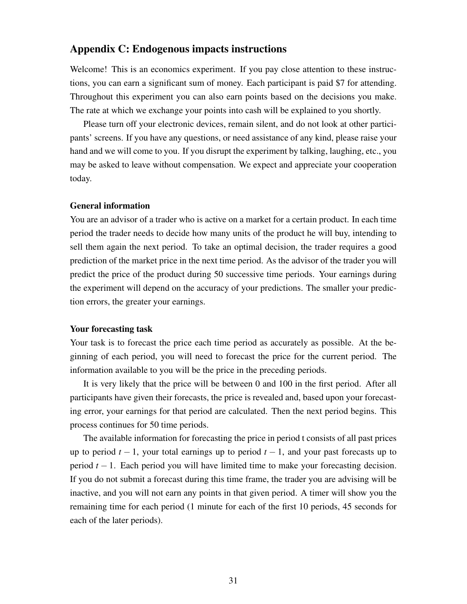### Appendix C: Endogenous impacts instructions

Welcome! This is an economics experiment. If you pay close attention to these instructions, you can earn a significant sum of money. Each participant is paid \$7 for attending. Throughout this experiment you can also earn points based on the decisions you make. The rate at which we exchange your points into cash will be explained to you shortly.

Please turn off your electronic devices, remain silent, and do not look at other participants' screens. If you have any questions, or need assistance of any kind, please raise your hand and we will come to you. If you disrupt the experiment by talking, laughing, etc., you may be asked to leave without compensation. We expect and appreciate your cooperation today.

### General information

You are an advisor of a trader who is active on a market for a certain product. In each time period the trader needs to decide how many units of the product he will buy, intending to sell them again the next period. To take an optimal decision, the trader requires a good prediction of the market price in the next time period. As the advisor of the trader you will predict the price of the product during 50 successive time periods. Your earnings during the experiment will depend on the accuracy of your predictions. The smaller your prediction errors, the greater your earnings.

### Your forecasting task

Your task is to forecast the price each time period as accurately as possible. At the beginning of each period, you will need to forecast the price for the current period. The information available to you will be the price in the preceding periods.

It is very likely that the price will be between 0 and 100 in the first period. After all participants have given their forecasts, the price is revealed and, based upon your forecasting error, your earnings for that period are calculated. Then the next period begins. This process continues for 50 time periods.

The available information for forecasting the price in period t consists of all past prices up to period  $t - 1$ , your total earnings up to period  $t - 1$ , and your past forecasts up to period *t* − 1. Each period you will have limited time to make your forecasting decision. If you do not submit a forecast during this time frame, the trader you are advising will be inactive, and you will not earn any points in that given period. A timer will show you the remaining time for each period (1 minute for each of the first 10 periods, 45 seconds for each of the later periods).